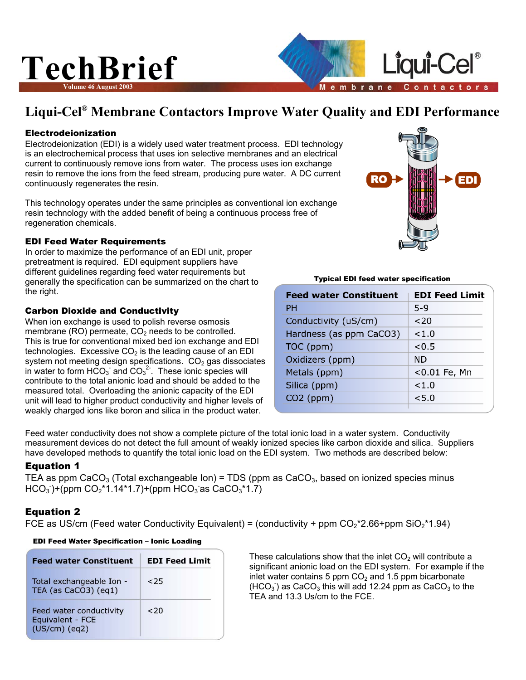## **TechBrief Volume 46 August 2003**



#### Electrodeionization

Electrodeionization (EDI) is a widely used water treatment process. EDI technology is an electrochemical process that uses ion selective membranes and an electrical current to continuously remove ions from water. The process uses ion exchange resin to remove the ions from the feed stream, producing pure water. A DC current continuously regenerates the resin.

This technology operates under the same principles as conventional ion exchange resin technology with the added benefit of being a continuous process free of regeneration chemicals.

#### EDI Feed Water Requirements

In order to maximize the performance of an EDI unit, proper pretreatment is required. EDI equipment suppliers have different guidelines regarding feed water requirements but generally the specification can be summarized on the chart to the right.

#### Carbon Dioxide and Conductivity

When ion exchange is used to polish reverse osmosis membrane (RO) permeate,  $CO<sub>2</sub>$  needs to be controlled. This is true for conventional mixed bed ion exchange and EDI technologies. Excessive  $CO<sub>2</sub>$  is the leading cause of an EDI system not meeting design specifications.  $CO<sub>2</sub>$  gas dissociates in water to form HCO<sub>3</sub> and CO<sub>3</sub><sup>2</sup>. These ionic species will contribute to the total anionic load and should be added to the measured total. Overloading the anionic capacity of the EDI unit will lead to higher product conductivity and higher levels of weakly charged ions like boron and silica in the product water.

**Feed water Constituent EDI Feed Limit** 

Typical EDI feed water specification

mbrane

ė

| PН                      | $5-9$        |
|-------------------------|--------------|
| Conductivity (uS/cm)    | 320          |
| Hardness (as ppm CaCO3) | 1.0          |
| TOC (ppm)               | < 0.5        |
| Oxidizers (ppm)         | <b>ND</b>    |
| Metals (ppm)            | <0.01 Fe, Mn |
| Silica (ppm)            | 1.0          |
| $CO2$ (ppm)             | < 5.0        |
|                         |              |

Feed water conductivity does not show a complete picture of the total ionic load in a water system. Conductivity measurement devices do not detect the full amount of weakly ionized species like carbon dioxide and silica. Suppliers have developed methods to quantify the total ionic load on the EDI system. Two methods are described below:

### **Equation 1**

TEA as ppm CaCO<sub>3</sub> (Total exchangeable Ion) = TDS (ppm as CaCO<sub>3</sub>, based on ionized species minus  $HCO<sub>3</sub>$ )+(ppm  $CO<sub>2</sub>$ \*1.14\*1.7)+(ppm  $HCO<sub>3</sub>$  as  $CaCO<sub>3</sub>$ \*1.7)

#### Equation 2

FCE as US/cm (Feed water Conductivity Equivalent) = (conductivity + ppm  $CO_2$ \*2.66+ppm SiO<sub>2</sub>\*1.94)

| <b>Feed water Constituent</b>                                  | <b>EDI Feed Limit</b> |  |
|----------------------------------------------------------------|-----------------------|--|
| Total exchangeable Ion -<br>TEA (as CaCO3) (eq1)               | <25                   |  |
| Feed water conductivity<br>Equivalent - FCE<br>$(US/cm)$ (eq2) | <20                   |  |

EDI Feed Water Specification – Ionic Loading

| These calculations show that the inlet $CO2$ will contribute a                    |
|-----------------------------------------------------------------------------------|
| significant anionic load on the EDI system. For example if the                    |
| inlet water contains 5 ppm $CO2$ and 1.5 ppm bicarbonate                          |
| $(HCO3)$ as CaCO <sub>3</sub> this will add 12.24 ppm as CaCO <sub>3</sub> to the |
| TEA and 13.3 Us/cm to the FCE.                                                    |



Liaui-Cel

Contactors